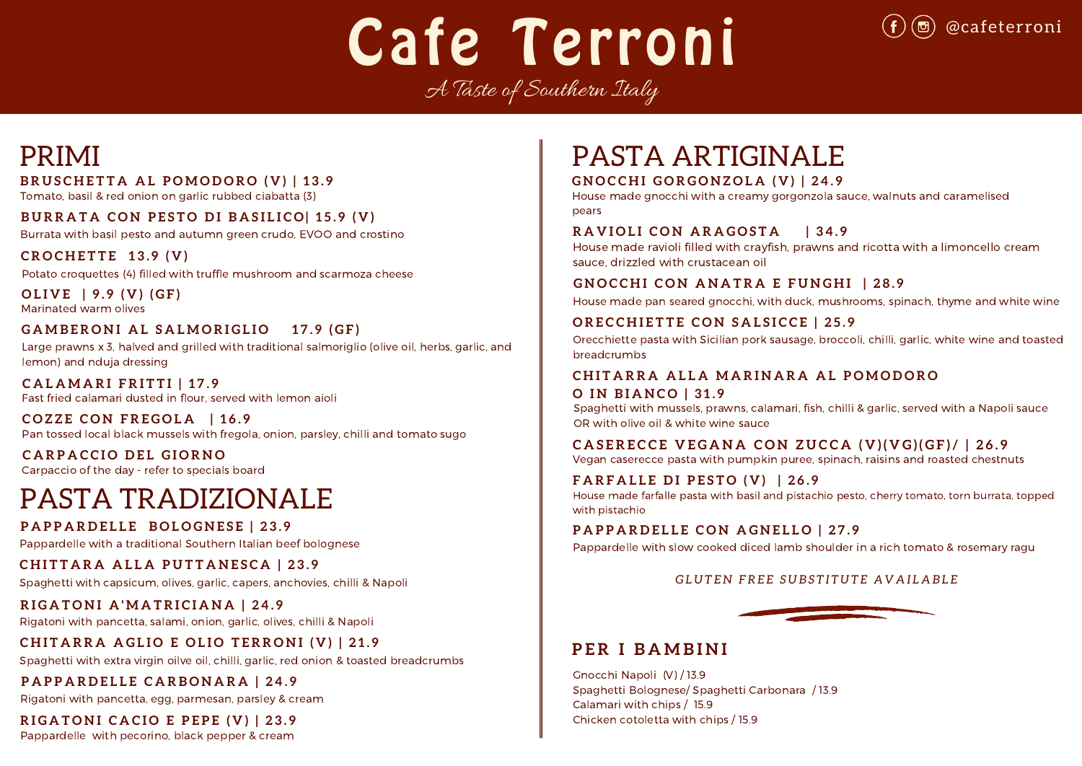# Cafe Terroni

A Taste of Southern Italy

# PASTA TRADIZIONALE

Spaghetti with capsicum, olives, garlic, capers, anchovies, chilli & Napoli

Pappardelle with pecorino, black pepper & cream

Gnocchi Napoli (V) / 13.9 Spaghetti Bolognese/ Spaghetti Carbonara / 13.9 Calamari with chips / 15.9 Chicken cotoletta with chips / 15.9

# **R I G A T O N I A ' M A T R I C I A N A | 2 4 . 9**

Rigatoni with pancetta, salami, onion, garlic, olives, chilli & Napoli

# CHITARRA AGLIO E OLIO TERRONI (V) | 21.9

# **P A P P A R D E L L E B O L O G N E S E | 2 3 . 9**

Pappardelle with a traditional Southern Italian beef bolognese

# CHITTARA ALLA PUTTANESCA | 23.9

Spaghetti with extra virgin oilve oil, chilli, garlic, red onion & toasted breadcrumbs

# PRIMI

# BRUSCHETTA AL POMODORO (V) | 13.9

Burrata with basil pesto and autumn green crudo, EVOO and crostino

### CHITARRA ALLA MARINARA AL POMODORO **O I N B I A N C O | 3 1 . 9**

**G N O C C H I G O R G O N Z O L A ( V ) | 2 4 . 9**

House made gnocchi with a creamy gorgonzola sauce, walnuts and caramelised pears

**R A V I O L I C O N A R A G O S T A | 3 4 . 9** House made ravioli filled with crayfish, prawns and ricotta with a limoncello cream sauce, drizzled with crustacean oil

# **GNOCCHI CON ANATRA E FUNGHI | 28.9**

Potato croquettes (4) filled with truffle mushroom and scarmoza cheese

# **C R O C H E T T E 1 3 . 9 ( V )**

# **P E R I B A M B I N I**

Tomato, basil & red onion on garlic rubbed ciabatta (3)

### BURRATA CON PESTO DI BASILICO 15.9 (V)

Pan tossed local black mussels with fregola, onion, parsley, chilli and tomato sugo **C O Z Z E C O N F R E G O L A | 1 6 . 9**

Fast fried calamari dusted in flour, served with lemon aioli **C A L A M A R I F R I T T I | 1 7 . 9**

# PASTA ARTIGINALE

Pappardelle with slow cooked diced lamb shoulder in a rich tomato & rosemary ragu

# GLUTEN FREE SUBSTITUTE AVAILABLE

Spaghetti with mussels, prawns, calamari, fish, chilli & garlic, served with a Napoli sauce OR with olive oil & white wine sauce

# CASERECCE VEGANA CON ZUCCA (V)(VG)(GF)/ | 26.9

### Carpaccio of the day - refer to specials board **C A R P A C C I O D E L G I O R N O**

House made pan seared gnocchi, with duck, mushrooms, spinach, thyme and white wine

# ORECCHIETTE CON SALSICCE | 25.9

### **F A R F A L L E D I P E S T O ( V ) | 2 6 . 9** House made farfalle pasta with basil and pistachio pesto, cherry tomato, torn burrata, topped with pistachio

**PAPPARDELLE CON AGNELLO | 27.9** 



# **P A P P A R D E L L E C A R B O N A R A | 2 4 . 9**

Rigatoni with pancetta, egg, parmesan, parsley & cream

# RIGATONI CACIO E PEPE  $(V)$  | 23.9

Vegan caserecce pasta with pumpkin puree, spinach, raisins and roasted chestnuts

Orecchiette pasta with Sicilian pork sausage, broccoli, chilli, garlic, white wine and toasted breadcrumbs

Marinated warm olives **O L I V E | 9 . 9 ( V ) ( G F )**

# GAMBERONI AL SALMORIGLIO 17.9 (GF)

Large prawns x 3, halved and grilled with traditional salmoriglio (olive oil, herbs, garlic, and lemon) and nduja dressing